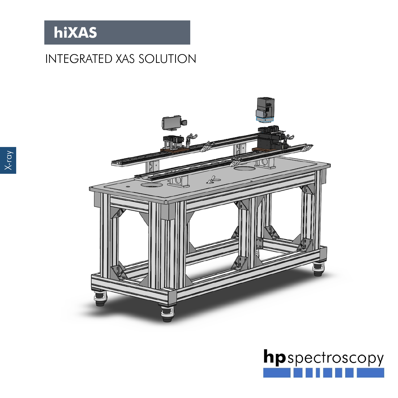## INTEGRATED XAS SOLUTION



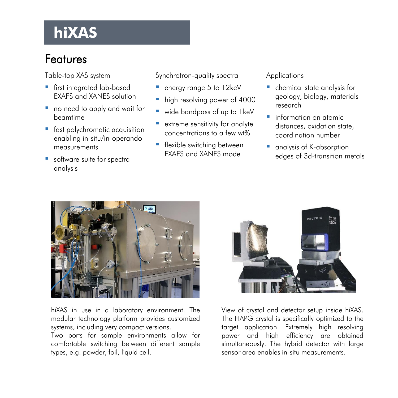#### Features

Table-top XAS system

- **first integrated lab-based** EXAFS and XANES solution
- no need to apply and wait for beamtime
- **fast polychromatic acquisition** enabling in-situ/in-operando measurements
- software suite for spectra analysis

Synchrotron-quality spectra

- **energy range 5 to 12keV**
- high resolving power of 4000
- wide bandpass of up to 1 keV
- extreme sensitivity for analyte concentrations to a few wt%
- **F** flexible switching between EXAFS and XANES mode

#### Applications

- chemical state analysis for geology, biology, materials research
- **information on atomic** distances, oxidation state, coordination number
- analysis of K-absorption edges of 3d-transition metals



hiXAS in use in a laboratory environment. The modular technology platform provides customized systems, including very compact versions.

Two ports for sample environments allow for comfortable switching between different sample types, e.g. powder, foil, liquid cell.



View of crystal and detector setup inside hiXAS. The HAPG crystal is specifically optimized to the target application. Extremely high resolving power and high efficiency are obtained simultaneously. The hybrid detector with large sensor area enables in-situ measurements.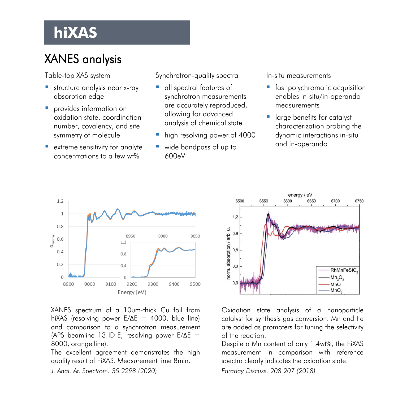## XANES analysis

Table-top XAS system

- **structure analysis near x-ray** absorption edge
- **P** provides information on oxidation state, coordination number, covalency, and site symmetry of molecule
- **E** extreme sensitivity for analyte concentrations to a few wt%

Synchrotron-quality spectra

- all spectral features of synchrotron measurements are accurately reproduced, allowing for advanced analysis of chemical state
- high resolving power of 4000
- wide bandpass of up to 600eV

In-situ measurements

- **fast polychromatic acquisition** enables in-situ/in-operando measurements
- **India** large benefits for catalyst characterization probing the dynamic interactions in-situ and in-operando



XANES spectrum of a 10um-thick Cu foil from hiXAS (resolving power E/ΔE = 4000, blue line) and comparison to a synchrotron measurement (APS beamline 13-ID-E, resolving power E/ΔE = 8000, orange line).

The excellent agreement demonstrates the high quality result of hiXAS. Measurement time 8min.

*J. Anal. At. Spectrom. 35 2298 (2020)*



Oxidation state analysis of a nanoparticle catalyst for synthesis gas conversion. Mn and Fe are added as promoters for tuning the selectivity of the reaction.

Despite a Mn content of only 1.4wt%, the hiXAS measurement in comparison with reference spectra clearly indicates the oxidation state.

*Faraday Discuss. 208 207 (2018)*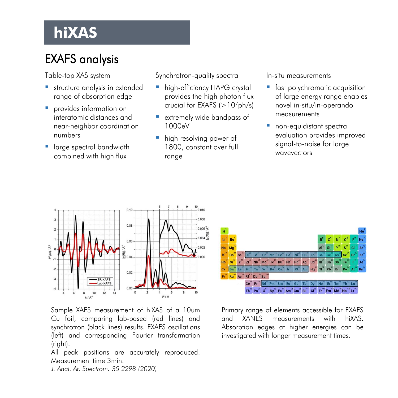## EXAFS analysis

Table-top XAS system

- **structure analysis in extended** range of absorption edge
- **P** provides information on interatomic distances and near-neighbor coordination numbers
- **large spectral bandwidth** combined with high flux

Synchrotron-quality spectra

- **high-efficiency HAPG crystal** provides the high photon flux crucial for EXAFS  $(>10<sup>7</sup>ph/s)$
- extremely wide bandpass of 1000eV
- **high resolving power of** 1800, constant over full range

In-situ measurements

- **fast polychromatic acquisition** of large energy range enables novel in-situ/in-operando measurements
- **non-equidistant spectral** evaluation provides improved signal-to-noise for large wavevectors



Sample XAFS measurement of hiXAS of a 10um Cu foil, comparing lab-based (red lines) and synchrotron (black lines) results. EXAFS oscillations (left) and corresponding Fourier transformation (right).

All peak positions are accurately reproduced. Measurement time 3min.

 $1<sup>3</sup>$  $Ma$ <sup>1</sup>  $\text{Sc}^2$  $Ti^{22}$  V<sup>23</sup> Cr<sup>24</sup> Mn<sup>25</sup> Fe<sup>26</sup> Co<sup>27</sup> Ni<sup>28</sup> Cu<sup>29</sup> Zn<sup>30</sup> Ga  $Zr^{40}$  Nb<sup>41</sup> Mo<sup>42</sup> Tc<sup>43</sup> Ru<sup>44</sup> Rh<sup>45</sup> Pd<sup>46</sup> Ag<sup>47</sup> Cd<sup>48</sup> In<sup>49</sup> Sn<sup>50</sup>  $Hf^{38}$  Ta<sup>73</sup> W<sup>74</sup> Re<sup>75</sup> Os<sup>76</sup> Ir<sup>77</sup> Pt<sup>78</sup> Au<sup>79</sup> Hg<sup>80</sup>  $T1^{81}$ Ra Ac Rf<sup>104</sup> Db<sup>105</sup> Sg Ce<sup>58</sup> Pr<sup>59</sup> Md Pm Sm Eu<sup>63</sup> Gd Tb to Dy Ho  $Th^{90}$  Pa<sup>91</sup> U<sup>92</sup> Np<sup>93</sup> Pu<sup>94</sup> Am<sup>95</sup> Cm<sup>96</sup> Bk<sup>97</sup> Cf<sup>98</sup> Es<sup>99</sup> Fm<sup>106</sup> Md<sup>109</sup> No<sup>102</sup> Lr<sup>16</sup>

Primary range of elements accessible for EXAFS and XANES measurements with hiXAS. Absorption edges at higher energies can be investigated with longer measurement times.

*J. Anal. At. Spectrom. 35 2298 (2020)*